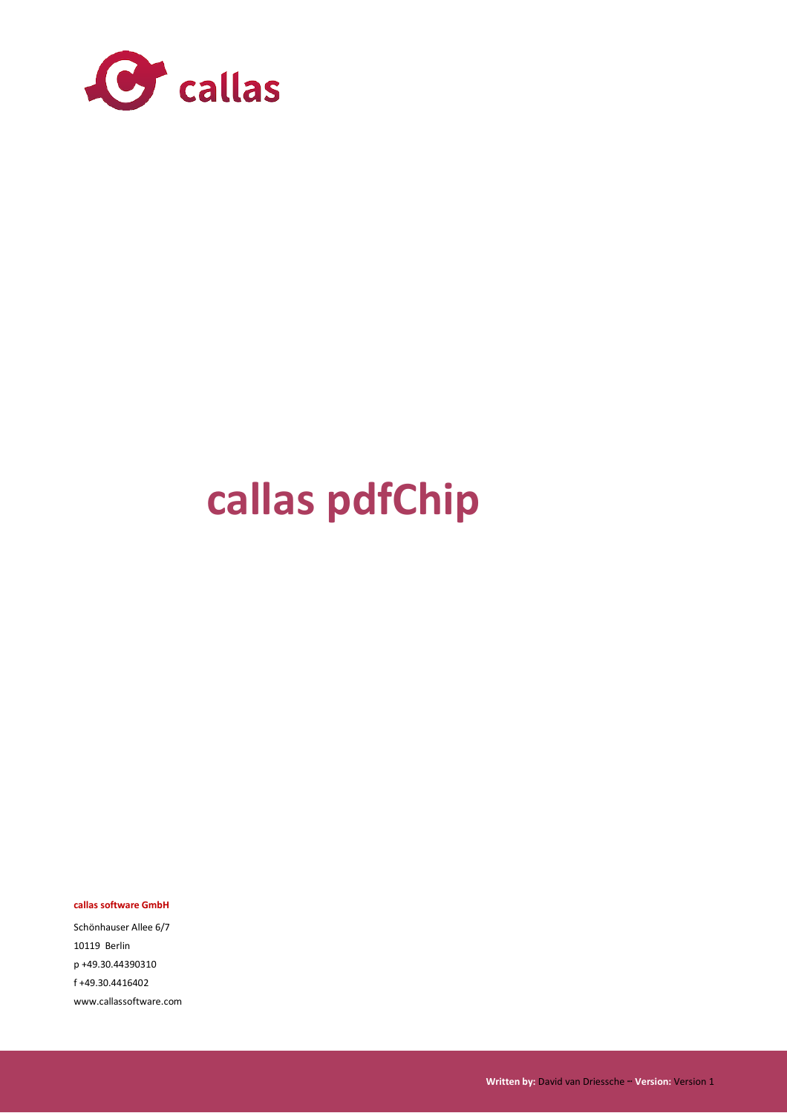

# **callas pdfChip**

**callas software GmbH** 

Schönhauser Allee 6/7 10119 Berlin p +49.30.44390310 f +49.30.4416402 www.callassoftware.com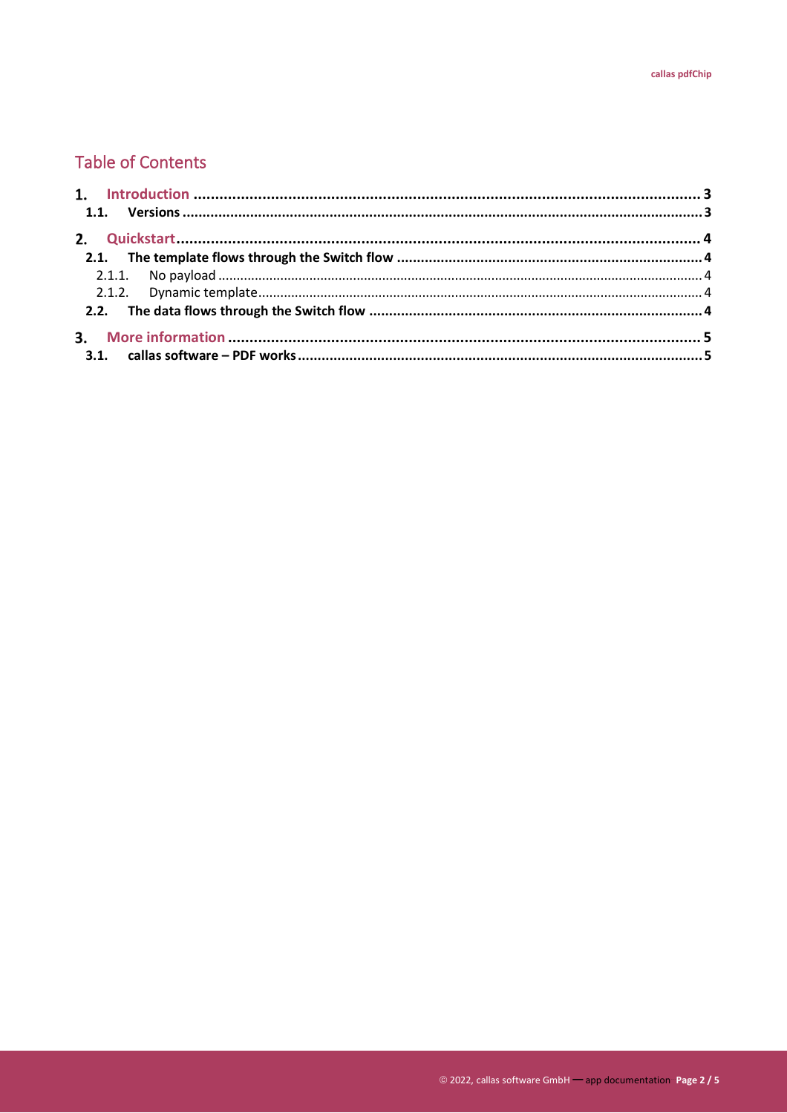## **Table of Contents**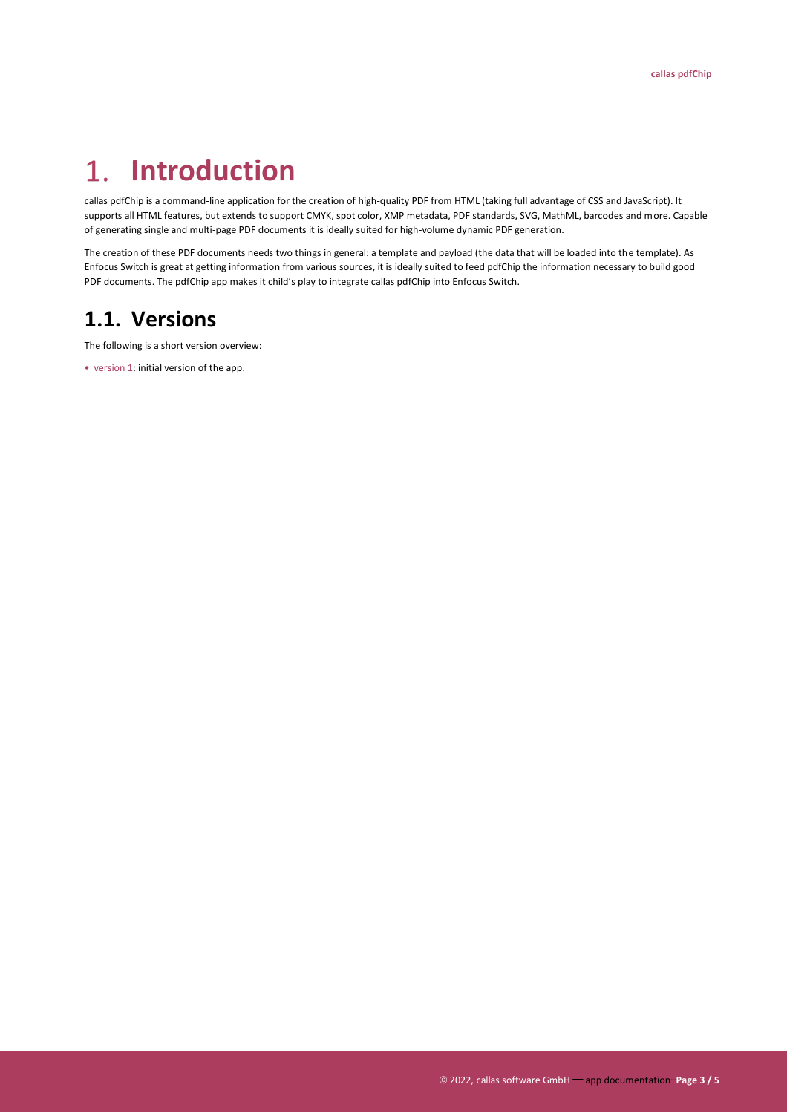#### <span id="page-2-0"></span>1. **Introduction**

callas pdfChip is a command-line application for the creation of high-quality PDF from HTML (taking full advantage of CSS and JavaScript). It supports all HTML features, but extends to support CMYK, spot color, XMP metadata, PDF standards, SVG, MathML, barcodes and more. Capable of generating single and multi-page PDF documents it is ideally suited for high-volume dynamic PDF generation.

The creation of these PDF documents needs two things in general: a template and payload (the data that will be loaded into the template). As Enfocus Switch is great at getting information from various sources, it is ideally suited to feed pdfChip the information necessary to build good PDF documents. The pdfChip app makes it child's play to integrate callas pdfChip into Enfocus Switch.

## <span id="page-2-1"></span>**1.1. Versions**

The following is a short version overview:

• version 1: initial version of the app.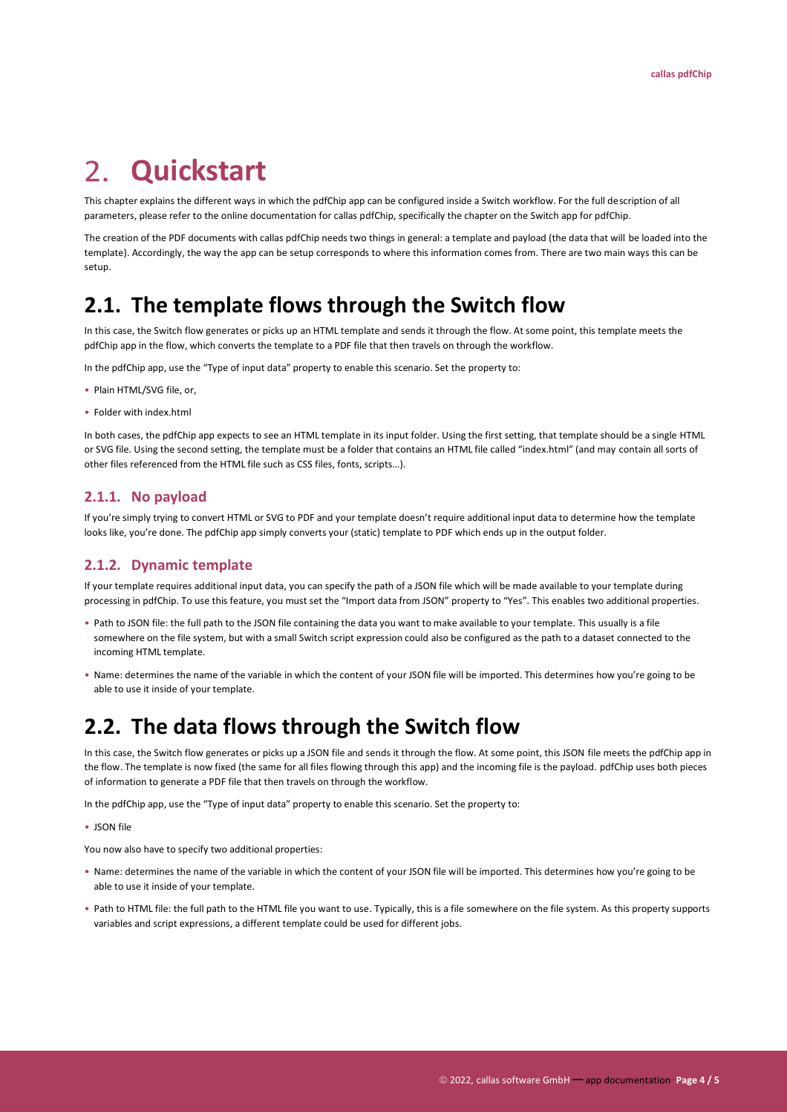#### <span id="page-3-0"></span>**Quickstart**  $2<sub>1</sub>$

This chapter explains the different ways in which the pdfChip app can be configured inside a Switch workflow. For the full description of all parameters, please refer to the online documentation for callas pdfChip, specifically the chapter on the Switch app for pdfChip.

The creation of the PDF documents with callas pdfChip needs two things in general: a template and payload (the data that will be loaded into the template). Accordingly, the way the app can be setup corresponds to where this information comes from. There are two main ways this can be setup.

## <span id="page-3-1"></span>**2.1. The template flows through the Switch flow**

In this case, the Switch flow generates or picks up an HTML template and sends it through the flow. At some point, this template meets the pdfChip app in the flow, which converts the template to a PDF file that then travels on through the workflow.

In the pdfChip app, use the "Type of input data" property to enable this scenario. Set the property to:

- Plain HTML/SVG file, or,
- Folder with index.html

In both cases, the pdfChip app expects to see an HTML template in its input folder. Using the first setting, that template should be a single HTML or SVG file. Using the second setting, the template must be a folder that contains an HTML file called "index.html" (and may contain all sorts of other files referenced from the HTML file such as CSS files, fonts, scripts…).

#### <span id="page-3-2"></span>**2.1.1. No payload**

If you're simply trying to convert HTML or SVG to PDF and your template doesn't require additional input data to determine how the template looks like, you're done. The pdfChip app simply converts your (static) template to PDF which ends up in the output folder.

#### <span id="page-3-3"></span>**2.1.2. Dynamic template**

If your template requires additional input data, you can specify the path of a JSON file which will be made available to your template during processing in pdfChip. To use this feature, you must set the "Import data from JSON" property to "Yes". This enables two additional properties.

- Path to JSON file: the full path to the JSON file containing the data you want to make available to your template. This usually is a file somewhere on the file system, but with a small Switch script expression could also be configured as the path to a dataset connected to the incoming HTML template.
- Name: determines the name of the variable in which the content of your JSON file will be imported. This determines how you're going to be able to use it inside of your template.

## <span id="page-3-4"></span>**2.2. The data flows through the Switch flow**

In this case, the Switch flow generates or picks up a JSON file and sends it through the flow. At some point, this JSON file meets the pdfChip app in the flow. The template is now fixed (the same for all files flowing through this app) and the incoming file is the payload. pdfChip uses both pieces of information to generate a PDF file that then travels on through the workflow.

In the pdfChip app, use the "Type of input data" property to enable this scenario. Set the property to:

• JSON file

You now also have to specify two additional properties:

- Name: determines the name of the variable in which the content of your JSON file will be imported. This determines how you're going to be able to use it inside of your template.
- Path to HTML file: the full path to the HTML file you want to use. Typically, this is a file somewhere on the file system. As this property supports variables and script expressions, a different template could be used for different jobs.